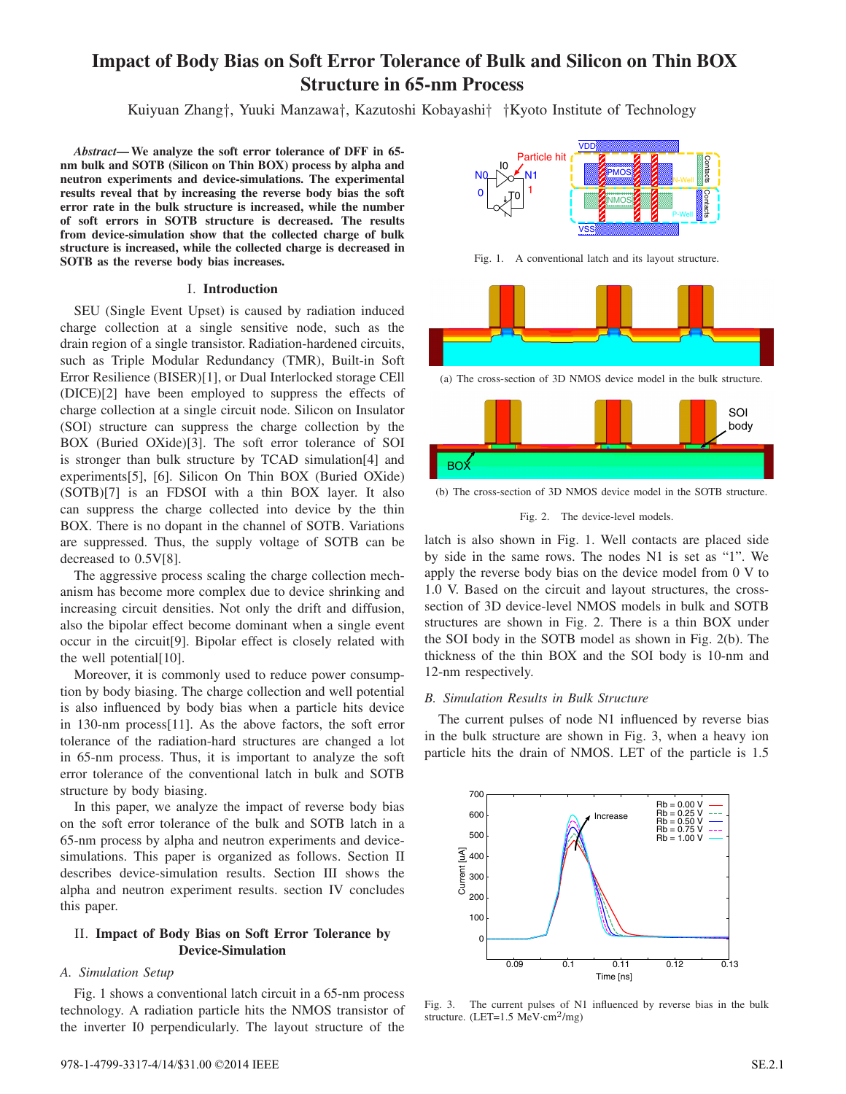# **Impact of Body Bias on Soft Error Tolerance of Bulk and Silicon on Thin BOX Structure in 65-nm Process**

Kuiyuan Zhang*†*, Yuuki Manzawa*†*, Kazutoshi Kobayashi*† †*Kyoto Institute of Technology

*Abstract***—We analyze the soft error tolerance of DFF in 65 nm bulk and SOTB (Silicon on Thin BOX) process by alpha and neutron experiments and device-simulations. The experimental results reveal that by increasing the reverse body bias the soft error rate in the bulk structure is increased, while the number of soft errors in SOTB structure is decreased. The results from device-simulation show that the collected charge of bulk structure is increased, while the collected charge is decreased in SOTB as the reverse body bias increases.**

#### I. **Introduction**

SEU (Single Event Upset) is caused by radiation induced charge collection at a single sensitive node, such as the drain region of a single transistor. Radiation-hardened circuits, such as Triple Modular Redundancy (TMR), Built-in Soft Error Resilience (BISER)[1], or Dual Interlocked storage CEll (DICE)[2] have been employed to suppress the effects of charge collection at a single circuit node. Silicon on Insulator (SOI) structure can suppress the charge collection by the BOX (Buried OXide)[3]. The soft error tolerance of SOI is stronger than bulk structure by TCAD simulation[4] and experiments[5], [6]. Silicon On Thin BOX (Buried OXide) (SOTB)[7] is an FDSOI with a thin BOX layer. It also can suppress the charge collected into device by the thin BOX. There is no dopant in the channel of SOTB. Variations are suppressed. Thus, the supply voltage of SOTB can be decreased to 0.5V[8].

The aggressive process scaling the charge collection mechanism has become more complex due to device shrinking and increasing circuit densities. Not only the drift and diffusion, also the bipolar effect become dominant when a single event occur in the circuit[9]. Bipolar effect is closely related with the well potential[10].

Moreover, it is commonly used to reduce power consumption by body biasing. The charge collection and well potential is also influenced by body bias when a particle hits device in 130-nm process[11]. As the above factors, the soft error tolerance of the radiation-hard structures are changed a lot in 65-nm process. Thus, it is important to analyze the soft error tolerance of the conventional latch in bulk and SOTB structure by body biasing.

In this paper, we analyze the impact of reverse body bias on the soft error tolerance of the bulk and SOTB latch in a 65-nm process by alpha and neutron experiments and devicesimulations. This paper is organized as follows. Section II describes device-simulation results. Section III shows the alpha and neutron experiment results. section IV concludes this paper.

# II. **Impact of Body Bias on Soft Error Tolerance by Device-Simulation**

#### *A. Simulation Setup*

Fig. 1 shows a conventional latch circuit in a 65-nm process technology. A radiation particle hits the NMOS transistor of the inverter I0 perpendicularly. The layout structure of the



Fig. 1. A conventional latch and its layout structure.



(a) The cross-section of 3D NMOS device model in the bulk structure.



(b) The cross-section of 3D NMOS device model in the SOTB structure.

#### Fig. 2. The device-level models.

latch is also shown in Fig. 1. Well contacts are placed side by side in the same rows. The nodes N1 is set as "1". We apply the reverse body bias on the device model from 0 V to 1.0 V. Based on the circuit and layout structures, the crosssection of 3D device-level NMOS models in bulk and SOTB structures are shown in Fig. 2. There is a thin BOX under the SOI body in the SOTB model as shown in Fig. 2(b). The thickness of the thin BOX and the SOI body is 10-nm and 12-nm respectively.

## *B. Simulation Results in Bulk Structure*

The current pulses of node N1 influenced by reverse bias in the bulk structure are shown in Fig. 3, when a heavy ion particle hits the drain of NMOS. LET of the particle is 1.5



Fig. 3. The current pulses of N1 influenced by reverse bias in the bulk structure. (LET=1.5 MeV*·*cm2/mg)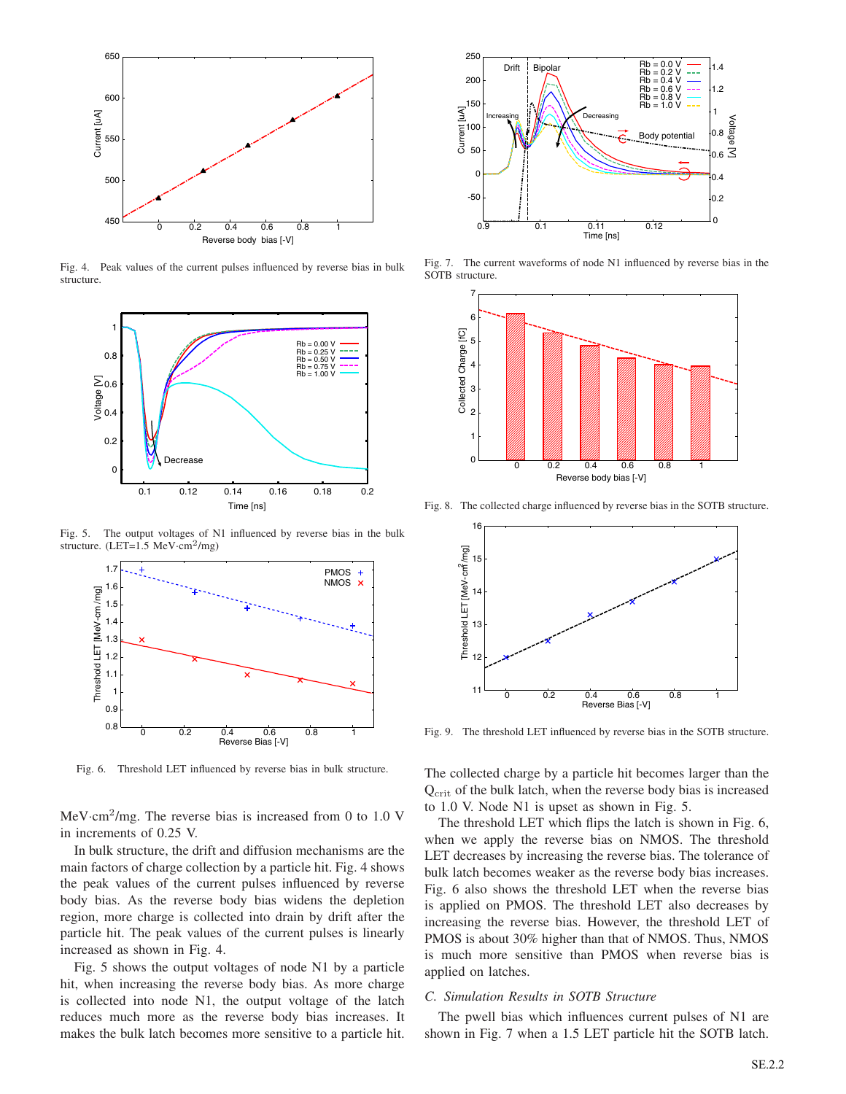

Fig. 4. Peak values of the current pulses influenced by reverse bias in bulk structure.



Fig. 5. The output voltages of N1 influenced by reverse bias in the bulk structure. (LET=1.5 MeV*·*cm2/mg)



Fig. 6. Threshold LET influenced by reverse bias in bulk structure.

MeV*·*cm<sup>2</sup>/mg. The reverse bias is increased from 0 to 1.0 V in increments of 0.25 V.

In bulk structure, the drift and diffusion mechanisms are the main factors of charge collection by a particle hit. Fig. 4 shows the peak values of the current pulses influenced by reverse body bias. As the reverse body bias widens the depletion region, more charge is collected into drain by drift after the particle hit. The peak values of the current pulses is linearly increased as shown in Fig. 4.

Fig. 5 shows the output voltages of node N1 by a particle hit, when increasing the reverse body bias. As more charge is collected into node N1, the output voltage of the latch reduces much more as the reverse body bias increases. It makes the bulk latch becomes more sensitive to a particle hit.



Fig. 7. The current waveforms of node N1 influenced by reverse bias in the SOTB structure.



Fig. 8. The collected charge influenced by reverse bias in the SOTB structure.



Fig. 9. The threshold LET influenced by reverse bias in the SOTB structure.

The collected charge by a particle hit becomes larger than the Q<sub>crit</sub> of the bulk latch, when the reverse body bias is increased to 1.0 V. Node N1 is upset as shown in Fig. 5.

The threshold LET which flips the latch is shown in Fig. 6, when we apply the reverse bias on NMOS. The threshold LET decreases by increasing the reverse bias. The tolerance of bulk latch becomes weaker as the reverse body bias increases. Fig. 6 also shows the threshold LET when the reverse bias is applied on PMOS. The threshold LET also decreases by increasing the reverse bias. However, the threshold LET of PMOS is about 30% higher than that of NMOS. Thus, NMOS is much more sensitive than PMOS when reverse bias is applied on latches.

#### *C. Simulation Results in SOTB Structure*

The pwell bias which influences current pulses of N1 are shown in Fig. 7 when a 1.5 LET particle hit the SOTB latch.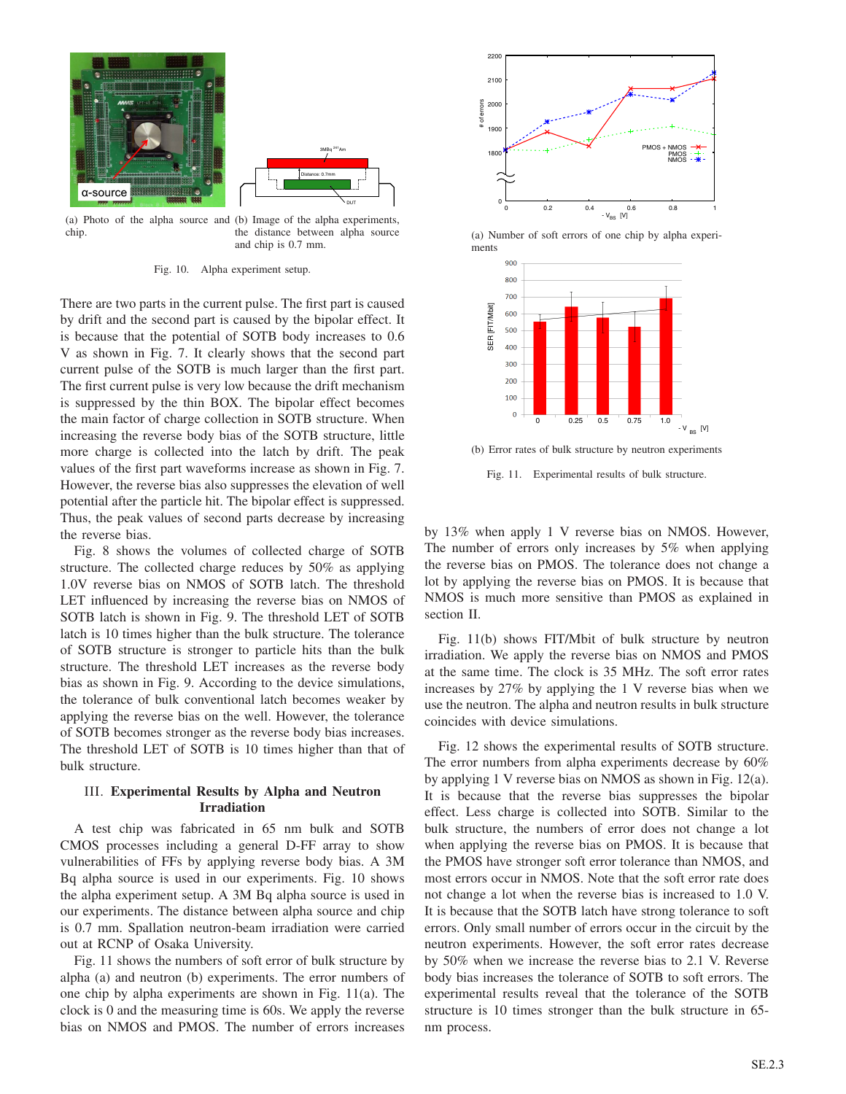

(a) Photo of the alpha source and (b) Image of the alpha experiments, chip. the distance between alpha source and chip is 0.7 mm.

Fig. 10. Alpha experiment setup.

There are two parts in the current pulse. The first part is caused by drift and the second part is caused by the bipolar effect. It is because that the potential of SOTB body increases to 0.6 V as shown in Fig. 7. It clearly shows that the second part current pulse of the SOTB is much larger than the first part. The first current pulse is very low because the drift mechanism is suppressed by the thin BOX. The bipolar effect becomes the main factor of charge collection in SOTB structure. When increasing the reverse body bias of the SOTB structure, little more charge is collected into the latch by drift. The peak values of the first part waveforms increase as shown in Fig. 7. However, the reverse bias also suppresses the elevation of well potential after the particle hit. The bipolar effect is suppressed. Thus, the peak values of second parts decrease by increasing the reverse bias.

Fig. 8 shows the volumes of collected charge of SOTB structure. The collected charge reduces by 50% as applying 1.0V reverse bias on NMOS of SOTB latch. The threshold LET influenced by increasing the reverse bias on NMOS of SOTB latch is shown in Fig. 9. The threshold LET of SOTB latch is 10 times higher than the bulk structure. The tolerance of SOTB structure is stronger to particle hits than the bulk structure. The threshold LET increases as the reverse body bias as shown in Fig. 9. According to the device simulations, the tolerance of bulk conventional latch becomes weaker by applying the reverse bias on the well. However, the tolerance of SOTB becomes stronger as the reverse body bias increases. The threshold LET of SOTB is 10 times higher than that of bulk structure.

# III. **Experimental Results by Alpha and Neutron Irradiation**

A test chip was fabricated in 65 nm bulk and SOTB CMOS processes including a general D-FF array to show vulnerabilities of FFs by applying reverse body bias. A 3M Bq alpha source is used in our experiments. Fig. 10 shows the alpha experiment setup. A 3M Bq alpha source is used in our experiments. The distance between alpha source and chip is 0.7 mm. Spallation neutron-beam irradiation were carried out at RCNP of Osaka University.

Fig. 11 shows the numbers of soft error of bulk structure by alpha (a) and neutron (b) experiments. The error numbers of one chip by alpha experiments are shown in Fig. 11(a). The clock is 0 and the measuring time is 60s. We apply the reverse bias on NMOS and PMOS. The number of errors increases



(a) Number of soft errors of one chip by alpha experiments



(b) Error rates of bulk structure by neutron experiments

Fig. 11. Experimental results of bulk structure.

by 13% when apply 1 V reverse bias on NMOS. However, The number of errors only increases by 5% when applying the reverse bias on PMOS. The tolerance does not change a lot by applying the reverse bias on PMOS. It is because that NMOS is much more sensitive than PMOS as explained in section II.

Fig. 11(b) shows FIT/Mbit of bulk structure by neutron irradiation. We apply the reverse bias on NMOS and PMOS at the same time. The clock is 35 MHz. The soft error rates increases by 27% by applying the 1 V reverse bias when we use the neutron. The alpha and neutron results in bulk structure coincides with device simulations.

Fig. 12 shows the experimental results of SOTB structure. The error numbers from alpha experiments decrease by 60% by applying 1 V reverse bias on NMOS as shown in Fig. 12(a). It is because that the reverse bias suppresses the bipolar effect. Less charge is collected into SOTB. Similar to the bulk structure, the numbers of error does not change a lot when applying the reverse bias on PMOS. It is because that the PMOS have stronger soft error tolerance than NMOS, and most errors occur in NMOS. Note that the soft error rate does not change a lot when the reverse bias is increased to 1.0 V. It is because that the SOTB latch have strong tolerance to soft errors. Only small number of errors occur in the circuit by the neutron experiments. However, the soft error rates decrease by 50% when we increase the reverse bias to 2.1 V. Reverse body bias increases the tolerance of SOTB to soft errors. The experimental results reveal that the tolerance of the SOTB structure is 10 times stronger than the bulk structure in 65 nm process.